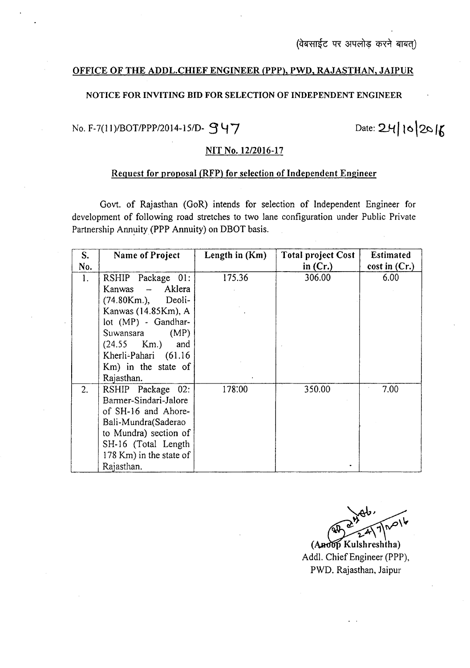### OFFICE OF THE ADDL.CHIEF ENGINEER (PPP), PWD, RAJASTHAN, JAIPUR

## NOTICE FOR INVITING BID FOR SELECTION OF INDEPENDENT ENGINEER

# No. F-7(11)/BOT/PPP/2014-15/D-  $\mathcal{G}$ 47

Date: 24/10/2016

#### NIT No. *12/2016-17*

#### Request for proposal (RFP) for selection of Independent Engineer

Govt. of Rajasthan (GoR) intends for selection of Independent Engineer for development of following road stretches to two lane configuration under Public Private Partnership Annuity (PPP Annuity) on DBOT basis.

| S.  | Name of Project         | Length in $(Km)$ | <b>Total project Cost</b> | <b>Estimated</b> |
|-----|-------------------------|------------------|---------------------------|------------------|
| No. |                         |                  | in $(Cr.)$                | cost in $(Cr.)$  |
| 1.  | RSHIP Package 01:       | 175.36           | 306.00                    | 6.00             |
|     | Aklera<br>Kanwas –      |                  |                           |                  |
|     | (74.80Km.),<br>Deoli-   |                  |                           |                  |
|     | Kanwas (14.85Km), A     |                  |                           |                  |
|     | lot (MP) - Gandhar-     |                  |                           |                  |
|     | (MP)<br>Suwansara       |                  |                           |                  |
|     | $(24.55 \, Km.)$<br>and |                  |                           |                  |
|     | Kherli-Pahari (61.16    |                  |                           |                  |
|     | Km) in the state of     |                  |                           |                  |
|     | Rajasthan.              |                  |                           |                  |
| 2.  | RSHIP Package 02:       | 178:00           | 350.00                    | 7.00             |
|     | Barmer-Sindari-Jalore   |                  |                           |                  |
|     | of SH-16 and Ahore-     |                  |                           |                  |
|     | Bali-Mundra(Saderao     |                  |                           |                  |
|     | to Mundra) section of   |                  |                           |                  |
|     | SH-16 (Total Length     |                  |                           |                  |
|     | 178 Km) in the state of |                  |                           |                  |
|     | Rajasthan.              |                  |                           |                  |

~~  $\sum_{n=1}^{\infty}$  $\sqrt{1}$  $\langle$ 

(Andop Kulshreshtha) Add!. Chief Engineer (PPP), PWD. Rajasthan, Jaipur